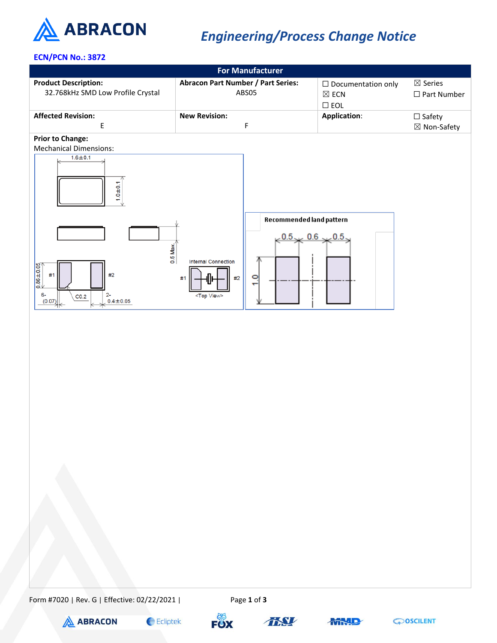

## *Engineering/Process Change Notice*

## **ECN/PCN No.: 3872**



Form #7020 | Rev. G | Effective: 02/22/2021 | Page **1** of **3**











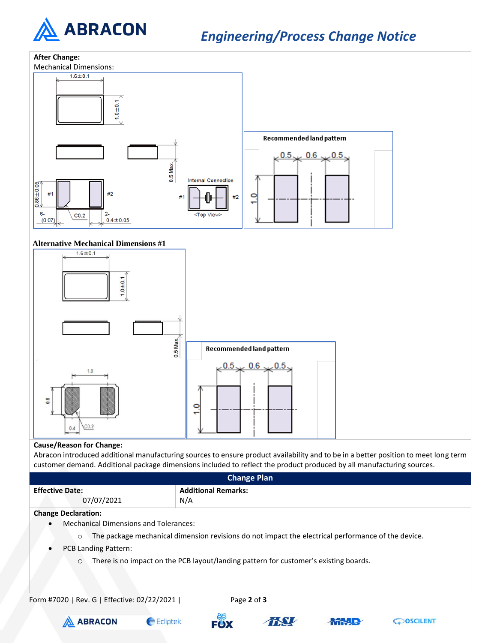

*Engineering/Process Change Notice*



## **Cause/Reason for Change:**

Abracon introduced additional manufacturing sources to ensure product availability and to be in a better position to meet long term customer demand. Additional package dimensions included to reflect the product produced by all manufacturing sources.

| <b>Change Plan</b>                                                                                            |                            |  |  |  |
|---------------------------------------------------------------------------------------------------------------|----------------------------|--|--|--|
| <b>Effective Date:</b>                                                                                        | <b>Additional Remarks:</b> |  |  |  |
| 07/07/2021                                                                                                    | N/A                        |  |  |  |
| <b>Change Declaration:</b>                                                                                    |                            |  |  |  |
| <b>Mechanical Dimensions and Tolerances:</b><br>$\bullet$                                                     |                            |  |  |  |
| The package mechanical dimension revisions do not impact the electrical performance of the device.<br>$\circ$ |                            |  |  |  |
| <b>PCB Landing Pattern:</b>                                                                                   |                            |  |  |  |
| There is no impact on the PCB layout/landing pattern for customer's existing boards.<br>$\circ$               |                            |  |  |  |
| Form #7020   Rev. G   Effective: 02/22/2021                                                                   | Page 2 of 3                |  |  |  |